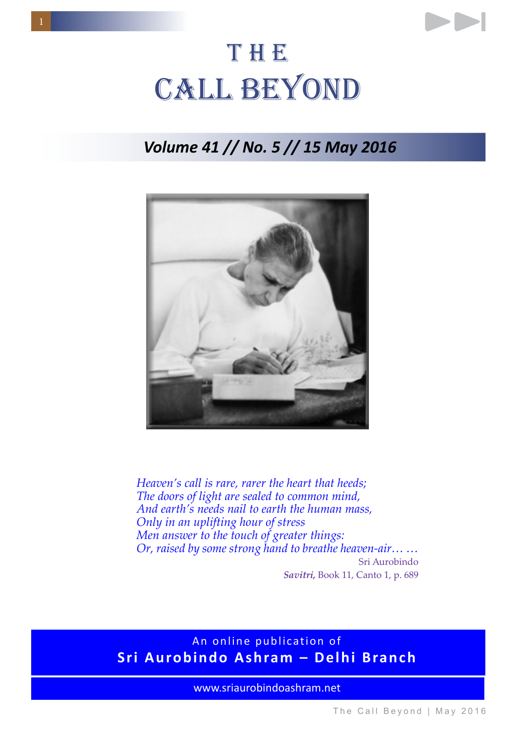# THE CALL BEYOND

## *Volume 41 // No. 5 // 15 May 2016*



*Heaven's call is rare, rarer the heart that heeds; The doors of light are sealed to common mind, And earth's needs nail to earth the human mass, Only in an uplifting hour of stress Men answer to the touch of greater things: Or, raised by some strong hand to breathe heaven-air… …* Sri Aurobindo *Savitri,* Book 11, Canto 1, p. 689

### An online publication of **Sri Aurobindo Ashram – Delhi Branch**

[www.sriaurobindoashram.net](http://sriaurobindoashram.net/)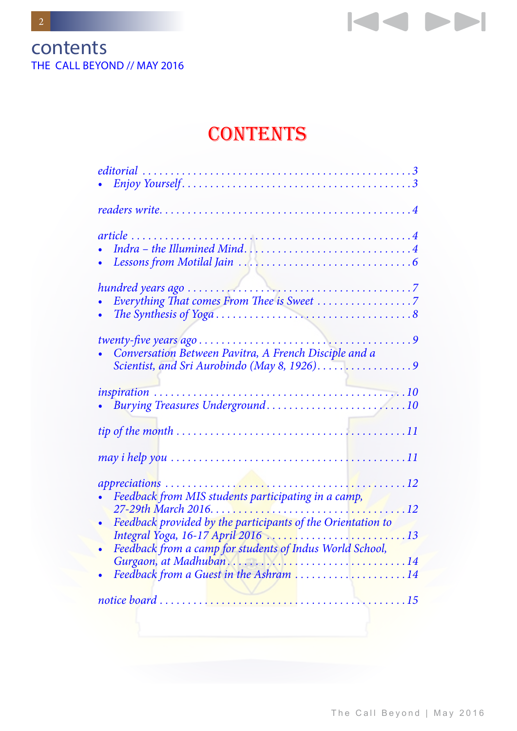# **KKA DDI**

contents THE CALL BEYOND // MAY 2016

# CONTENTS

| Conversation Between Pavitra, A French Disciple and a       |
|-------------------------------------------------------------|
|                                                             |
| Burying Treasures Underground10                             |
|                                                             |
|                                                             |
| Feedback from MIS students participating in a camp,         |
| Feedback provided by the participants of the Orientation to |
|                                                             |
| Feedback from a Guest in the Ashram 14                      |
|                                                             |
|                                                             |

 $\overline{2}$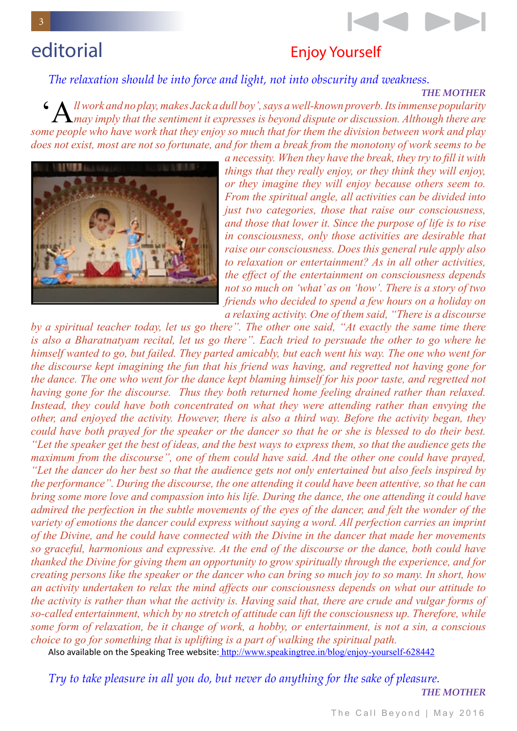# $\bullet$

# <span id="page-2-0"></span>editorial

## Enjoy Yourself

*The relaxation should be into force and light, not into obscurity and weakness.*

### *THE MOTHER*

'A*ll work and no play, makes Jack a dull boy', says a well-known proverb. Its immense popularity may imply that the sentiment it expresses is beyond dispute or discussion. Although there are some people who have work that they enjoy so much that for them the division between work and play does not exist, most are not so fortunate, and for them a break from the monotony of work seems to be* 



*a necessity. When they have the break, they try to fill it with things that they really enjoy, or they think they will enjoy, or they imagine they will enjoy because others seem to. From the spiritual angle, all activities can be divided into just two categories, those that raise our consciousness, and those that lower it. Since the purpose of life is to rise in consciousness, only those activities are desirable that raise our consciousness. Does this general rule apply also to relaxation or entertainment? As in all other activities, the effect of the entertainment on consciousness depends not so much on 'what' as on 'how'. There is a story of two friends who decided to spend a few hours on a holiday on a relaxing activity. One of them said, "There is a discourse* 

*by a spiritual teacher today, let us go there". The other one said, "At exactly the same time there is also a Bharatnatyam recital, let us go there". Each tried to persuade the other to go where he himself wanted to go, but failed. They parted amicably, but each went his way. The one who went for the discourse kept imagining the fun that his friend was having, and regretted not having gone for the dance. The one who went for the dance kept blaming himself for his poor taste, and regretted not having gone for the discourse. Thus they both returned home feeling drained rather than relaxed. Instead, they could have both concentrated on what they were attending rather than envying the other, and enjoyed the activity. However, there is also a third way. Before the activity began, they could have both prayed for the speaker or the dancer so that he or she is blessed to do their best. "Let the speaker get the best of ideas, and the best ways to express them, so that the audience gets the maximum from the discourse", one of them could have said. And the other one could have prayed, "Let the dancer do her best so that the audience gets not only entertained but also feels inspired by the performance". During the discourse, the one attending it could have been attentive, so that he can bring some more love and compassion into his life. During the dance, the one attending it could have admired the perfection in the subtle movements of the eyes of the dancer, and felt the wonder of the variety of emotions the dancer could express without saying a word. All perfection carries an imprint of the Divine, and he could have connected with the Divine in the dancer that made her movements so graceful, harmonious and expressive. At the end of the discourse or the dance, both could have thanked the Divine for giving them an opportunity to grow spiritually through the experience, and for creating persons like the speaker or the dancer who can bring so much joy to so many. In short, how an activity undertaken to relax the mind affects our consciousness depends on what our attitude to the activity is rather than what the activity is. Having said that, there are crude and vulgar forms of so-called entertainment, which by no stretch of attitude can lift the consciousness up. Therefore, while some form of relaxation, be it change of work, a hobby, or entertainment, is not a sin, a conscious choice to go for something that is uplifting is a part of walking the spiritual path.*

Also available on the Speaking Tree website:<http://www.speakingtree.in/blog/enjoy-yourself-628442>

*Try to take pleasure in all you do, but never do anything for the sake of pleasure.*

*THE MOTHER*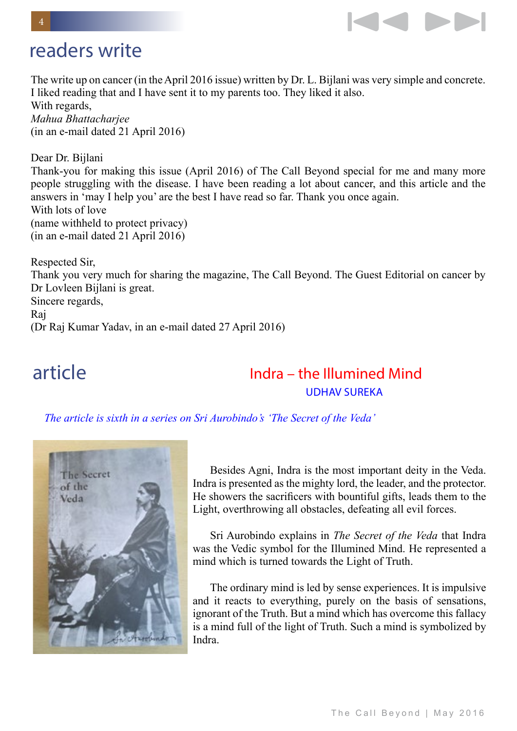# <span id="page-3-0"></span>readers write

The write up on cancer (in the April 2016 issue) written by Dr. L. Bijlani was very simple and concrete. I liked reading that and I have sent it to my parents too. They liked it also.

With regards, *Mahua Bhattacharjee* (in an e-mail dated 21 April 2016)

Dear Dr. Bijlani Thank-you for making this issue (April 2016) of The Call Beyond special for me and many more people struggling with the disease. I have been reading a lot about cancer, and this article and the answers in 'may I help you' are the best I have read so far. Thank you once again. With lots of love (name withheld to protect privacy) (in an e-mail dated 21 April 2016)

Respected Sir, Thank you very much for sharing the magazine, The Call Beyond. The Guest Editorial on cancer by Dr Lovleen Bijlani is great. Sincere regards, Raj (Dr Raj Kumar Yadav, in an e-mail dated 27 April 2016)

## article Indra – the Illumined Mind UDHAV SUREKA

*The article is sixth in a series on Sri Aurobindo's 'The Secret of the Veda'*



Besides Agni, Indra is the most important deity in the Veda. Indra is presented as the mighty lord, the leader, and the protector. He showers the sacrificers with bountiful gifts, leads them to the Light, overthrowing all obstacles, defeating all evil forces.

Sri Aurobindo explains in *The Secret of the Veda* that Indra was the Vedic symbol for the Illumined Mind. He represented a mind which is turned towards the Light of Truth.

The ordinary mind is led by sense experiences. It is impulsive and it reacts to everything, purely on the basis of sensations, ignorant of the Truth. But a mind which has overcome this fallacy is a mind full of the light of Truth. Such a mind is symbolized by Indra.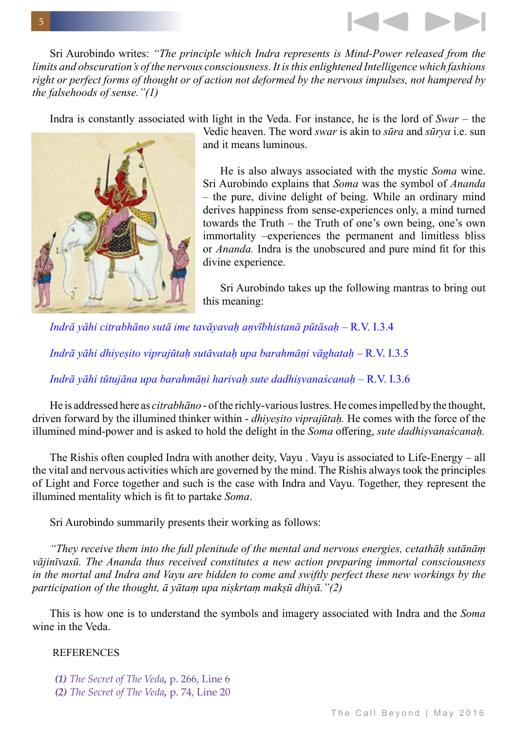

Sri Aurobindo writes: *"The principle which Indra represents is Mind-Power released from the limits and obscuration's of the nervous consciousness. It is this enlightened Intelligence which fashions right or perfect forms of thought or of action not deformed by the nervous impulses, not hampered by the falsehoods of sense."(1)*

Indra is constantly associated with light in the Veda. For instance, he is the lord of *Swar* – the



Vedic heaven. The word *swar* is akin to *sūra* and *sūrya* i.e. sun and it means luminous.

He is also always associated with the mystic *Soma* wine. Sri Aurobindo explains that *Soma* was the symbol of *Ananda* – the pure, divine delight of being. While an ordinary mind derives happiness from sense-experiences only, a mind turned towards the Truth – the Truth of one's own being, one's own immortality –experiences the permanent and limitless bliss or *Ananda.* Indra is the unobscured and pure mind fit for this divine experience.

Sri Aurobindo takes up the following mantras to bring out this meaning:

*Indrā yāhi citrabhāno sutā ime tavāyavaḥ aṇvībhistanā pūtāsaḥ* – R.V. I.3.4

*Indrā yāhi dhiyeṣito viprajūtaḥ sutāvataḥ upa barahmāṇi vāghataḥ* – R.V. I.3.5

*Indrā yāhi tūtujāna upa barahmāṇi harivaḥ sute dadhiṣvanaścanaḥ* – R.V. I.3.6

He is addressed here as *citrabhāno* - of the richly-various lustres. He comes impelled by the thought, driven forward by the illumined thinker within - *dhiyeṣito viprajūtaḥ.* He comes with the force of the illumined mind-power and is asked to hold the delight in the *Soma* offering, *sute dadhiṣvanaścanaḥ.* 

The Rishis often coupled Indra with another deity, Vayu . Vayu is associated to Life-Energy – all the vital and nervous activities which are governed by the mind. The Rishis always took the principles of Light and Force together and such is the case with Indra and Vayu. Together, they represent the illumined mentality which is fit to partake *Soma*.

Sri Aurobindo summarily presents their working as follows:

*"They receive them into the full plenitude of the mental and nervous energies, cetathāḥ sutānāṃ vājinīvasū. The Ananda thus received constitutes a new action preparing immortal consciousness in the mortal and Indra and Vayu are bidden to come and swiftly perfect these new workings by the participation of the thought, ā yātaṃ upa niṣkrtaṃ makṣū dhiyā."(2)*

This is how one is to understand the symbols and imagery associated with Indra and the *Soma*  wine in the Veda.

### **REFERENCES**

 *(1) The Secret of The Veda,* p. 266, Line 6  *(2) The Secret of The Veda,* p. 74, Line 20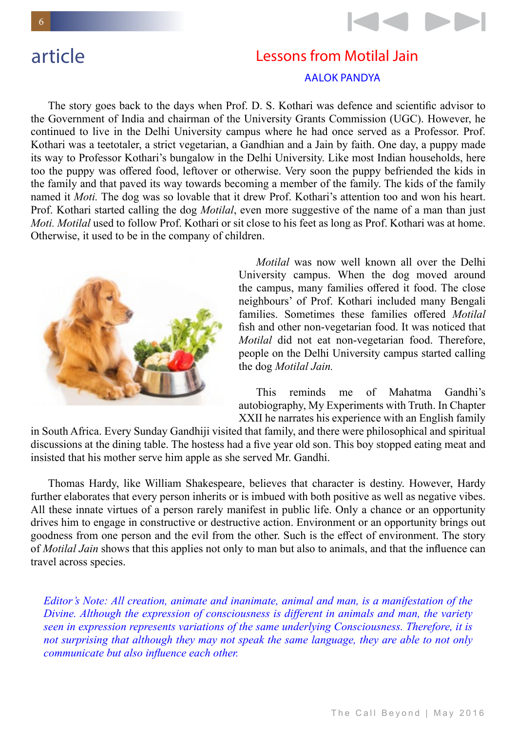

## article Lessons from Motilal Jain AALOK PANDYA

The story goes back to the days when Prof. D. S. Kothari was defence and scientific advisor to the Government of India and chairman of the University Grants Commission (UGC). However, he continued to live in the Delhi University campus where he had once served as a Professor. Prof. Kothari was a teetotaler, a strict vegetarian, a Gandhian and a Jain by faith. One day, a puppy made its way to Professor Kothari's bungalow in the Delhi University. Like most Indian households, here too the puppy was offered food, leftover or otherwise. Very soon the puppy befriended the kids in the family and that paved its way towards becoming a member of the family. The kids of the family named it *Moti.* The dog was so lovable that it drew Prof. Kothari's attention too and won his heart. Prof. Kothari started calling the dog *Motilal*, even more suggestive of the name of a man than just *Moti. Motilal* used to follow Prof. Kothari or sit close to his feet as long as Prof. Kothari was at home. Otherwise, it used to be in the company of children.



*Motilal* was now well known all over the Delhi University campus. When the dog moved around the campus, many families offered it food. The close neighbours' of Prof. Kothari included many Bengali families. Sometimes these families offered *Motilal* fish and other non-vegetarian food. It was noticed that *Motilal* did not eat non-vegetarian food. Therefore, people on the Delhi University campus started calling the dog *Motilal Jain.*

This reminds me of Mahatma Gandhi's autobiography, My Experiments with Truth. In Chapter XXII he narrates his experience with an English family

in South Africa. Every Sunday Gandhiji visited that family, and there were philosophical and spiritual discussions at the dining table. The hostess had a five year old son. This boy stopped eating meat and insisted that his mother serve him apple as she served Mr. Gandhi.

Thomas Hardy, like William Shakespeare, believes that character is destiny. However, Hardy further elaborates that every person inherits or is imbued with both positive as well as negative vibes. All these innate virtues of a person rarely manifest in public life. Only a chance or an opportunity drives him to engage in constructive or destructive action. Environment or an opportunity brings out goodness from one person and the evil from the other. Such is the effect of environment. The story of *Motilal Jain* shows that this applies not only to man but also to animals, and that the influence can travel across species.

*Editor's Note: All creation, animate and inanimate, animal and man, is a manifestation of the Divine. Although the expression of consciousness is different in animals and man, the variety seen in expression represents variations of the same underlying Consciousness. Therefore, it is not surprising that although they may not speak the same language, they are able to not only communicate but also influence each other.*

<span id="page-5-0"></span>6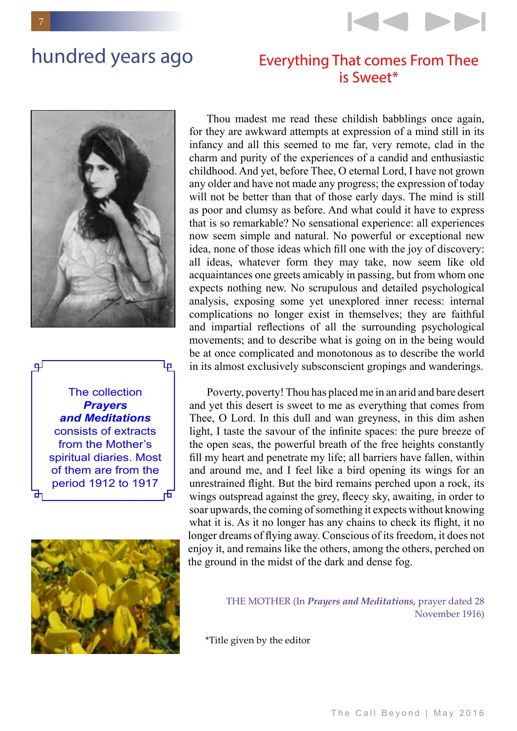# <span id="page-6-0"></span>hundred years ago **Everything That comes From Thee** is Sweet\*

**ICC D** 



The collection *Prayers and Meditations*  consists of extracts from the Mother's spiritual diaries. Most of them are from the period 1912 to 1917

Lр



Thou madest me read these childish babblings once again, for they are awkward attempts at expression of a mind still in its infancy and all this seemed to me far, very remote, clad in the charm and purity of the experiences of a candid and enthusiastic childhood. And yet, before Thee, O eternal Lord, I have not grown any older and have not made any progress; the expression of today will not be better than that of those early days. The mind is still as poor and clumsy as before. And what could it have to express that is so remarkable? No sensational experience: all experiences now seem simple and natural. No powerful or exceptional new idea, none of those ideas which fill one with the joy of discovery: all ideas, whatever form they may take, now seem like old acquaintances one greets amicably in passing, but from whom one expects nothing new. No scrupulous and detailed psychological analysis, exposing some yet unexplored inner recess: internal complications no longer exist in themselves; they are faithful and impartial reflections of all the surrounding psychological movements; and to describe what is going on in the being would be at once complicated and monotonous as to describe the world in its almost exclusively subsconscient gropings and wanderings.

Poverty, poverty! Thou has placed me in an arid and bare desert and yet this desert is sweet to me as everything that comes from Thee, O Lord. In this dull and wan greyness, in this dim ashen light, I taste the savour of the infinite spaces: the pure breeze of the open seas, the powerful breath of the free heights constantly fill my heart and penetrate my life; all barriers have fallen, within and around me, and I feel like a bird opening its wings for an unrestrained flight. But the bird remains perched upon a rock, its wings outspread against the grey, fleecy sky, awaiting, in order to soar upwards, the coming of something it expects without knowing what it is. As it no longer has any chains to check its flight, it no longer dreams of flying away. Conscious of its freedom, it does not enjoy it, and remains like the others, among the others, perched on the ground in the midst of the dark and dense fog.

> THE MOTHER (In *Prayers and Meditations,* prayer dated 28 November 1916)

\*Title given by the editor

ᆗ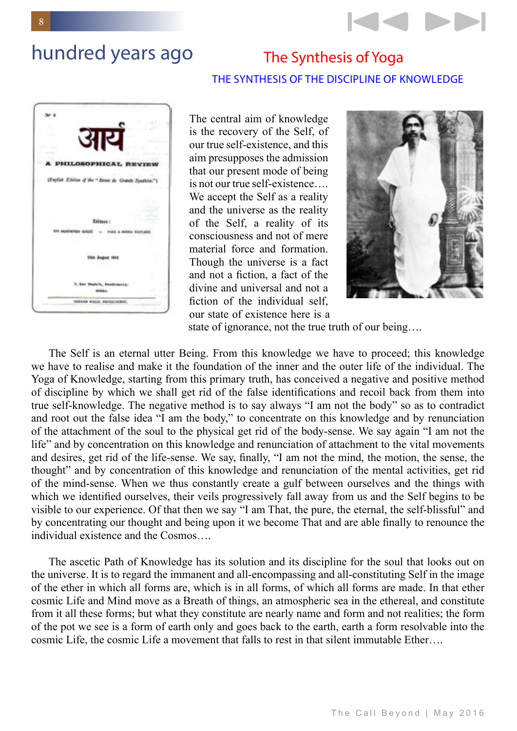# **ICC DIE**

# <span id="page-7-0"></span>hundred years ago The Synthesis of Yoga

# THE SYNTHESIS OF THE DISCIPLINE OF KNOWLEDGE



The central aim of knowledge is the recovery of the Self, of our true self-existence, and this aim presupposes the admission that our present mode of being is not our true self-existence…. We accept the Self as a reality and the universe as the reality of the Self, a reality of its consciousness and not of mere material force and formation. Though the universe is a fact and not a fiction, a fact of the divine and universal and not a fiction of the individual self, our state of existence here is a



state of ignorance, not the true truth of our being….

The Self is an eternal utter Being. From this knowledge we have to proceed; this knowledge we have to realise and make it the foundation of the inner and the outer life of the individual. The Yoga of Knowledge, starting from this primary truth, has conceived a negative and positive method of discipline by which we shall get rid of the false identifications and recoil back from them into true self-knowledge. The negative method is to say always "I am not the body" so as to contradict and root out the false idea "I am the body," to concentrate on this knowledge and by renunciation of the attachment of the soul to the physical get rid of the body-sense. We say again "I am not the life" and by concentration on this knowledge and renunciation of attachment to the vital movements and desires, get rid of the life-sense. We say, finally, "I am not the mind, the motion, the sense, the thought" and by concentration of this knowledge and renunciation of the mental activities, get rid of the mind-sense. When we thus constantly create a gulf between ourselves and the things with which we identified ourselves, their veils progressively fall away from us and the Self begins to be visible to our experience. Of that then we say "I am That, the pure, the eternal, the self-blissful" and by concentrating our thought and being upon it we become That and are able finally to renounce the individual existence and the Cosmos….

The ascetic Path of Knowledge has its solution and its discipline for the soul that looks out on the universe. It is to regard the immanent and all-encompassing and all-constituting Self in the image of the ether in which all forms are, which is in all forms, of which all forms are made. In that ether cosmic Life and Mind move as a Breath of things, an atmospheric sea in the ethereal, and constitute from it all these forms; but what they constitute are nearly name and form and not realities; the form of the pot we see is a form of earth only and goes back to the earth, earth a form resolvable into the cosmic Life, the cosmic Life a movement that falls to rest in that silent immutable Ether….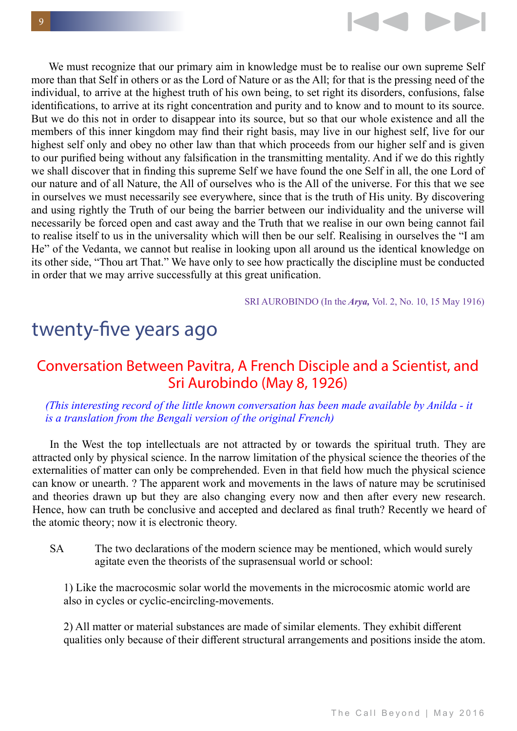

<span id="page-8-0"></span>We must recognize that our primary aim in knowledge must be to realise our own supreme Self more than that Self in others or as the Lord of Nature or as the All; for that is the pressing need of the individual, to arrive at the highest truth of his own being, to set right its disorders, confusions, false identifications, to arrive at its right concentration and purity and to know and to mount to its source. But we do this not in order to disappear into its source, but so that our whole existence and all the members of this inner kingdom may find their right basis, may live in our highest self, live for our highest self only and obey no other law than that which proceeds from our higher self and is given to our purified being without any falsification in the transmitting mentality. And if we do this rightly we shall discover that in finding this supreme Self we have found the one Self in all, the one Lord of our nature and of all Nature, the All of ourselves who is the All of the universe. For this that we see in ourselves we must necessarily see everywhere, since that is the truth of His unity. By discovering and using rightly the Truth of our being the barrier between our individuality and the universe will necessarily be forced open and cast away and the Truth that we realise in our own being cannot fail to realise itself to us in the universality which will then be our self. Realising in ourselves the "I am He" of the Vedanta, we cannot but realise in looking upon all around us the identical knowledge on its other side, "Thou art That." We have only to see how practically the discipline must be conducted in order that we may arrive successfully at this great unification.

SRI AUROBINDO (In the *Arya,* Vol. 2, No. 10, 15 May 1916)

# twenty-five years ago

### Conversation Between Pavitra, A French Disciple and a Scientist, and Sri Aurobindo (May 8, 1926)

### *(This interesting record of the little known conversation has been made available by Anilda - it is a translation from the Bengali version of the original French)*

In the West the top intellectuals are not attracted by or towards the spiritual truth. They are attracted only by physical science. In the narrow limitation of the physical science the theories of the externalities of matter can only be comprehended. Even in that field how much the physical science can know or unearth. ? The apparent work and movements in the laws of nature may be scrutinised and theories drawn up but they are also changing every now and then after every new research. Hence, how can truth be conclusive and accepted and declared as final truth? Recently we heard of the atomic theory; now it is electronic theory.

SA The two declarations of the modern science may be mentioned, which would surely agitate even the theorists of the suprasensual world or school:

1) Like the macrocosmic solar world the movements in the microcosmic atomic world are also in cycles or cyclic-encircling-movements.

2) All matter or material substances are made of similar elements. They exhibit different qualities only because of their different structural arrangements and positions inside the atom.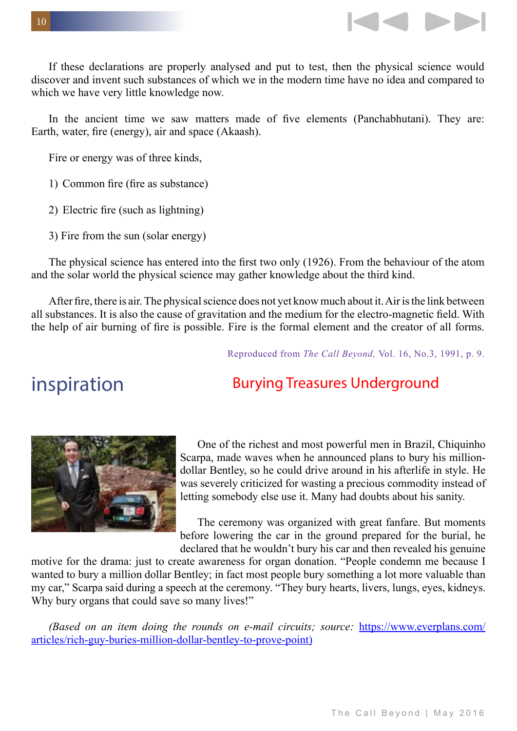

<span id="page-9-0"></span>If these declarations are properly analysed and put to test, then the physical science would discover and invent such substances of which we in the modern time have no idea and compared to which we have very little knowledge now.

In the ancient time we saw matters made of five elements (Panchabhutani). They are: Earth, water, fire (energy), air and space (Akaash).

Fire or energy was of three kinds,

1) Common fire (fire as substance)

2) Electric fire (such as lightning)

3) Fire from the sun (solar energy)

The physical science has entered into the first two only (1926). From the behaviour of the atom and the solar world the physical science may gather knowledge about the third kind.

After fire, there is air. The physical science does not yet know much about it. Air is the link between all substances. It is also the cause of gravitation and the medium for the electro-magnetic field. With the help of air burning of fire is possible. Fire is the formal element and the creator of all forms.

Reproduced from *The Call Beyond,* Vol. 16, No.3, 1991, p. 9.

## inspiration **Burying Treasures Underground**



One of the richest and most powerful men in Brazil, Chiquinho Scarpa, made waves when he announced plans to bury his milliondollar Bentley, so he could drive around in his afterlife in style. He was severely criticized for wasting a precious commodity instead of letting somebody else use it. Many had doubts about his sanity.

The ceremony was organized with great fanfare. But moments before lowering the car in the ground prepared for the burial, he declared that he wouldn't bury his car and then revealed his genuine

motive for the drama: just to create awareness for organ donation. "People condemn me because I wanted to bury a million dollar Bentley; in fact most people bury something a lot more valuable than my car," Scarpa said during a speech at the ceremony. "They bury hearts, livers, lungs, eyes, kidneys. Why bury organs that could save so many lives!"

*(Based on an item doing the rounds on e-mail circuits; source:* [https://www.everplans.com/](https://www.everplans.com/articles/rich-guy-buries-million-dollar-bentley-to-prove-point)) [articles/rich-guy-buries-million-dollar-bentley-to-prove-point\)](https://www.everplans.com/articles/rich-guy-buries-million-dollar-bentley-to-prove-point))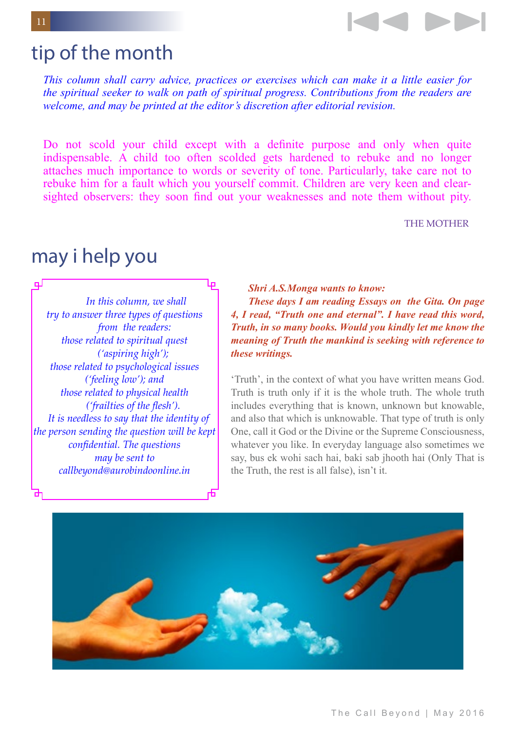

# <span id="page-10-0"></span>tip of the month

*This column shall carry advice, practices or exercises which can make it a little easier for the spiritual seeker to walk on path of spiritual progress. Contributions from the readers are welcome, and may be printed at the editor's discretion after editorial revision.*

Do not scold your child except with a definite purpose and only when quite indispensable. A child too often scolded gets hardened to rebuke and no longer attaches much importance to words or severity of tone. Particularly, take care not to rebuke him for a fault which you yourself commit. Children are very keen and clearsighted observers: they soon find out your weaknesses and note them without pity.

Lρ

### **THE MOTHER**

# may i help you

*In this column, we shall try to answer three types of questions from the readers: those related to spiritual quest ('aspiring high'); those related to psychological issues ('feeling low'); and those related to physical health ('frailties of the flesh'). It is needless to say that the identity of the person sending the question will be kept confidential. The questions may be sent to [callbeyond@aurobindoonline.in](mailto:callbeyond@aurobindoonline.in)*

### *Shri A.S.Monga wants to know:*

*These days I am reading Essays on the Gita. On page 4, I read, "Truth one and eternal". I have read this word, Truth, in so many books. Would you kindly let me know the meaning of Truth the mankind is seeking with reference to these writings.*

'Truth', in the context of what you have written means God. Truth is truth only if it is the whole truth. The whole truth includes everything that is known, unknown but knowable, and also that which is unknowable. That type of truth is only One, call it God or the Divine or the Supreme Consciousness, whatever you like. In everyday language also sometimes we say, bus ek wohi sach hai, baki sab jhooth hai (Only That is the Truth, the rest is all false), isn't it.

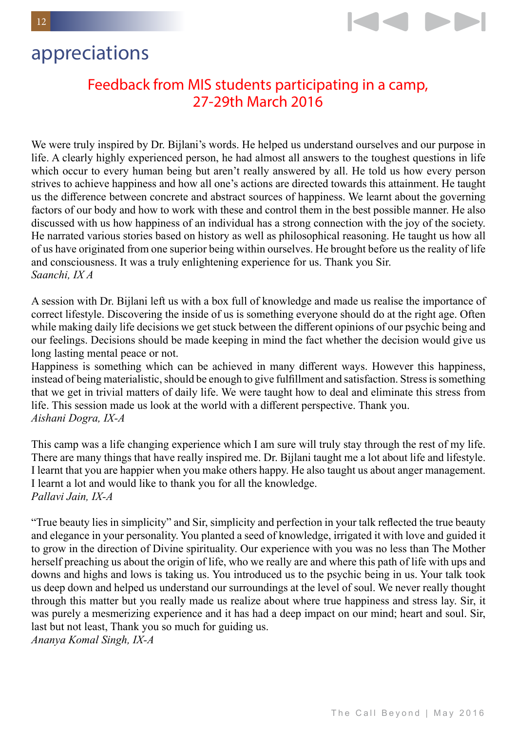# **ICC DD**

# <span id="page-11-0"></span>appreciations

### Feedback from MIS students participating in a camp, 27-29th March 2016

We were truly inspired by Dr. Bijlani's words. He helped us understand ourselves and our purpose in life. A clearly highly experienced person, he had almost all answers to the toughest questions in life which occur to every human being but aren't really answered by all. He told us how every person strives to achieve happiness and how all one's actions are directed towards this attainment. He taught us the difference between concrete and abstract sources of happiness. We learnt about the governing factors of our body and how to work with these and control them in the best possible manner. He also discussed with us how happiness of an individual has a strong connection with the joy of the society. He narrated various stories based on history as well as philosophical reasoning. He taught us how all of us have originated from one superior being within ourselves. He brought before us the reality of life and consciousness. It was a truly enlightening experience for us. Thank you Sir. *Saanchi, IX A*

A session with Dr. Bijlani left us with a box full of knowledge and made us realise the importance of correct lifestyle. Discovering the inside of us is something everyone should do at the right age. Often while making daily life decisions we get stuck between the different opinions of our psychic being and our feelings. Decisions should be made keeping in mind the fact whether the decision would give us long lasting mental peace or not.

Happiness is something which can be achieved in many different ways. However this happiness, instead of being materialistic, should be enough to give fulfillment and satisfaction. Stress is something that we get in trivial matters of daily life. We were taught how to deal and eliminate this stress from life. This session made us look at the world with a different perspective. Thank you. *Aishani Dogra, IX-A*

This camp was a life changing experience which I am sure will truly stay through the rest of my life. There are many things that have really inspired me. Dr. Bijlani taught me a lot about life and lifestyle. I learnt that you are happier when you make others happy. He also taught us about anger management. I learnt a lot and would like to thank you for all the knowledge. *Pallavi Jain, IX-A*

"True beauty lies in simplicity" and Sir, simplicity and perfection in your talk reflected the true beauty and elegance in your personality. You planted a seed of knowledge, irrigated it with love and guided it to grow in the direction of Divine spirituality. Our experience with you was no less than The Mother herself preaching us about the origin of life, who we really are and where this path of life with ups and downs and highs and lows is taking us. You introduced us to the psychic being in us. Your talk took us deep down and helped us understand our surroundings at the level of soul. We never really thought through this matter but you really made us realize about where true happiness and stress lay. Sir, it was purely a mesmerizing experience and it has had a deep impact on our mind; heart and soul. Sir, last but not least, Thank you so much for guiding us. *Ananya Komal Singh, IX-A*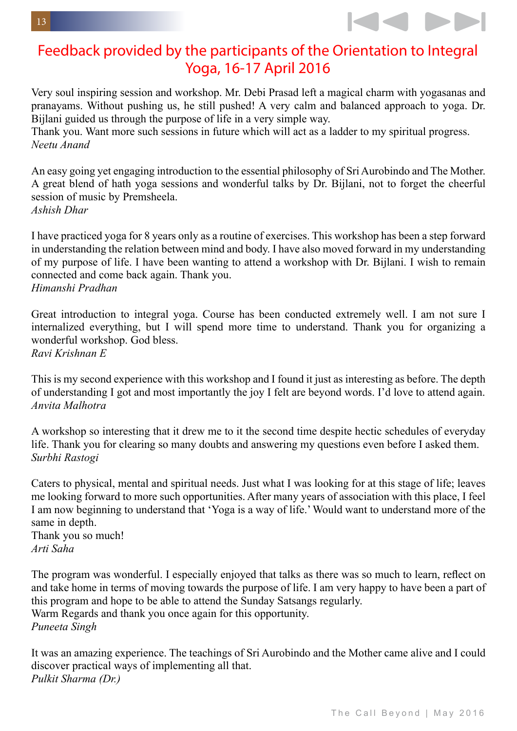# $\blacksquare$

## <span id="page-12-0"></span>Feedback provided by the participants of the Orientation to Integral Yoga, 16-17 April 2016

Very soul inspiring session and workshop. Mr. Debi Prasad left a magical charm with yogasanas and pranayams. Without pushing us, he still pushed! A very calm and balanced approach to yoga. Dr. Bijlani guided us through the purpose of life in a very simple way.

Thank you. Want more such sessions in future which will act as a ladder to my spiritual progress. *Neetu Anand*

An easy going yet engaging introduction to the essential philosophy of Sri Aurobindo and The Mother. A great blend of hath yoga sessions and wonderful talks by Dr. Bijlani, not to forget the cheerful session of music by Premsheela. *Ashish Dhar*

I have practiced yoga for 8 years only as a routine of exercises. This workshop has been a step forward in understanding the relation between mind and body. I have also moved forward in my understanding of my purpose of life. I have been wanting to attend a workshop with Dr. Bijlani. I wish to remain connected and come back again. Thank you. *Himanshi Pradhan*

Great introduction to integral yoga. Course has been conducted extremely well. I am not sure I internalized everything, but I will spend more time to understand. Thank you for organizing a wonderful workshop. God bless. *Ravi Krishnan E*

This is my second experience with this workshop and I found it just as interesting as before. The depth of understanding I got and most importantly the joy I felt are beyond words. I'd love to attend again. *Anvita Malhotra*

A workshop so interesting that it drew me to it the second time despite hectic schedules of everyday life. Thank you for clearing so many doubts and answering my questions even before I asked them. *Surbhi Rastogi*

Caters to physical, mental and spiritual needs. Just what I was looking for at this stage of life; leaves me looking forward to more such opportunities. After many years of association with this place, I feel I am now beginning to understand that 'Yoga is a way of life.' Would want to understand more of the same in depth.

Thank you so much! *Arti Saha*

The program was wonderful. I especially enjoyed that talks as there was so much to learn, reflect on and take home in terms of moving towards the purpose of life. I am very happy to have been a part of this program and hope to be able to attend the Sunday Satsangs regularly. Warm Regards and thank you once again for this opportunity. *Puneeta Singh*

It was an amazing experience. The teachings of Sri Aurobindo and the Mother came alive and I could discover practical ways of implementing all that. *Pulkit Sharma (Dr.)*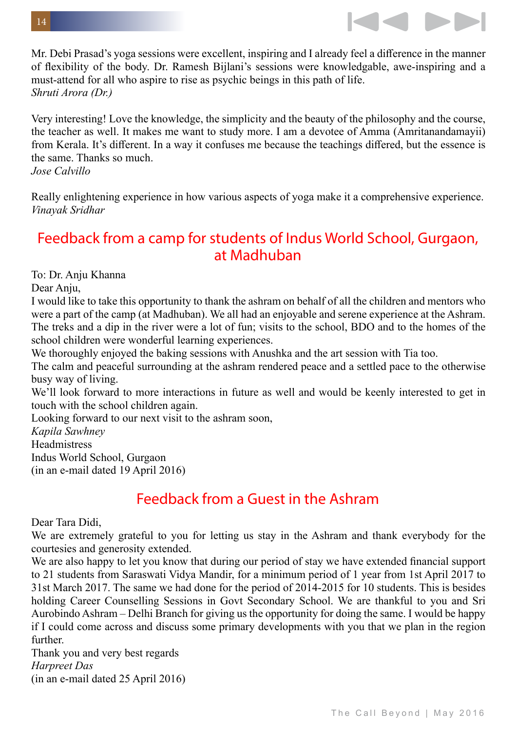

<span id="page-13-0"></span>Mr. Debi Prasad's yoga sessions were excellent, inspiring and I already feel a difference in the manner of flexibility of the body. Dr. Ramesh Bijlani's sessions were knowledgable, awe-inspiring and a must-attend for all who aspire to rise as psychic beings in this path of life. *Shruti Arora (Dr.)*

Very interesting! Love the knowledge, the simplicity and the beauty of the philosophy and the course, the teacher as well. It makes me want to study more. I am a devotee of Amma (Amritanandamayii) from Kerala. It's different. In a way it confuses me because the teachings differed, but the essence is the same. Thanks so much.

*Jose Calvillo*

Really enlightening experience in how various aspects of yoga make it a comprehensive experience. *Vinayak Sridhar*

## Feedback from a camp for students of Indus World School, Gurgaon, at Madhuban

To: Dr. Anju Khanna

Dear Anju,

I would like to take this opportunity to thank the ashram on behalf of all the children and mentors who were a part of the camp (at Madhuban). We all had an enjoyable and serene experience at the Ashram. The treks and a dip in the river were a lot of fun; visits to the school, BDO and to the homes of the school children were wonderful learning experiences.

We thoroughly enjoyed the baking sessions with Anushka and the art session with Tia too.

The calm and peaceful surrounding at the ashram rendered peace and a settled pace to the otherwise busy way of living.

We'll look forward to more interactions in future as well and would be keenly interested to get in touch with the school children again.

Looking forward to our next visit to the ashram soon,

*Kapila Sawhney*

Headmistress

Indus World School, Gurgaon (in an e-mail dated 19 April 2016)

### Feedback from a Guest in the Ashram

Dear Tara Didi,

We are extremely grateful to you for letting us stay in the Ashram and thank everybody for the courtesies and generosity extended.

We are also happy to let you know that during our period of stay we have extended financial support to 21 students from Saraswati Vidya Mandir, for a minimum period of 1 year from 1st April 2017 to 31st March 2017. The same we had done for the period of 2014-2015 for 10 students. This is besides holding Career Counselling Sessions in Govt Secondary School. We are thankful to you and Sri Aurobindo Ashram – Delhi Branch for giving us the opportunity for doing the same. I would be happy if I could come across and discuss some primary developments with you that we plan in the region further.

Thank you and very best regards *Harpreet Das* (in an e-mail dated 25 April 2016)